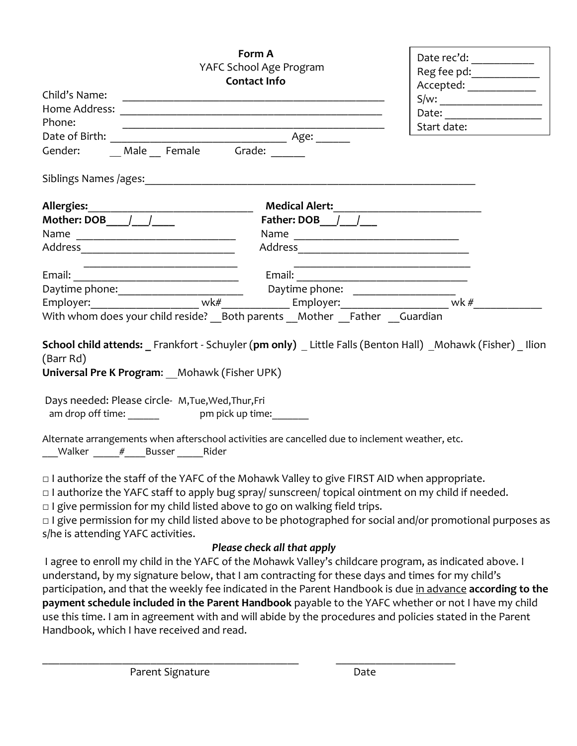| YAFC School Age Program<br><b>Contact Info</b><br>Child's Name:                                                                                                                                                                                                                                                                                                                                                                             | Date rec'd:<br>Reg fee pd: ____________<br>Accepted: ______________<br>S/w: |             |  |
|---------------------------------------------------------------------------------------------------------------------------------------------------------------------------------------------------------------------------------------------------------------------------------------------------------------------------------------------------------------------------------------------------------------------------------------------|-----------------------------------------------------------------------------|-------------|--|
|                                                                                                                                                                                                                                                                                                                                                                                                                                             |                                                                             |             |  |
| Phone:                                                                                                                                                                                                                                                                                                                                                                                                                                      |                                                                             | Start date: |  |
|                                                                                                                                                                                                                                                                                                                                                                                                                                             |                                                                             |             |  |
|                                                                                                                                                                                                                                                                                                                                                                                                                                             |                                                                             |             |  |
|                                                                                                                                                                                                                                                                                                                                                                                                                                             |                                                                             |             |  |
|                                                                                                                                                                                                                                                                                                                                                                                                                                             |                                                                             |             |  |
|                                                                                                                                                                                                                                                                                                                                                                                                                                             |                                                                             |             |  |
|                                                                                                                                                                                                                                                                                                                                                                                                                                             |                                                                             |             |  |
|                                                                                                                                                                                                                                                                                                                                                                                                                                             |                                                                             |             |  |
|                                                                                                                                                                                                                                                                                                                                                                                                                                             |                                                                             |             |  |
|                                                                                                                                                                                                                                                                                                                                                                                                                                             |                                                                             |             |  |
|                                                                                                                                                                                                                                                                                                                                                                                                                                             |                                                                             |             |  |
|                                                                                                                                                                                                                                                                                                                                                                                                                                             |                                                                             |             |  |
| With whom does your child reside? Both parents  Mother  Father  Guardian                                                                                                                                                                                                                                                                                                                                                                    |                                                                             |             |  |
| School child attends: Frankfort - Schuyler (pm only) Little Falls (Benton Hall) Mohawk (Fisher) llion<br>(Barr Rd)<br>Universal Pre K Program: __ Mohawk (Fisher UPK)                                                                                                                                                                                                                                                                       |                                                                             |             |  |
| Days needed: Please circle- M, Tue, Wed, Thur, Fri<br>am drop off time:<br>pm pick up time:                                                                                                                                                                                                                                                                                                                                                 |                                                                             |             |  |
| Alternate arrangements when afterschool activities are cancelled due to inclement weather, etc.<br>Walker # Busser Rider                                                                                                                                                                                                                                                                                                                    |                                                                             |             |  |
| □ I authorize the staff of the YAFC of the Mohawk Valley to give FIRST AID when appropriate.<br>□ I authorize the YAFC staff to apply bug spray/ sunscreen/ topical ointment on my child if needed.<br>$\Box$ I give permission for my child listed above to go on walking field trips.<br>□ I give permission for my child listed above to be photographed for social and/or promotional purposes as<br>s/he is attending YAFC activities. |                                                                             |             |  |
|                                                                                                                                                                                                                                                                                                                                                                                                                                             | Please check all that apply                                                 |             |  |
| I agree to enroll my child in the YAFC of the Mohawk Valley's childcare program, as indicated above. I<br>understand, by my signature below, that I am contracting for these days and times for my child's<br>participation, and that the weekly fee indicated in the Parent Handbook is due in advance according to the                                                                                                                    |                                                                             |             |  |

**payment schedule included in the Parent Handbook** payable to the YAFC whether or not I have my child use this time. I am in agreement with and will abide by the procedures and policies stated in the Parent Handbook, which I have received and read.

\_\_\_\_\_\_\_\_\_\_\_\_\_\_\_\_\_\_\_\_\_\_\_\_\_\_\_\_\_\_\_\_\_\_\_\_\_\_\_\_\_\_\_\_\_ \_\_\_\_\_\_\_\_\_\_\_\_\_\_\_\_\_\_\_\_\_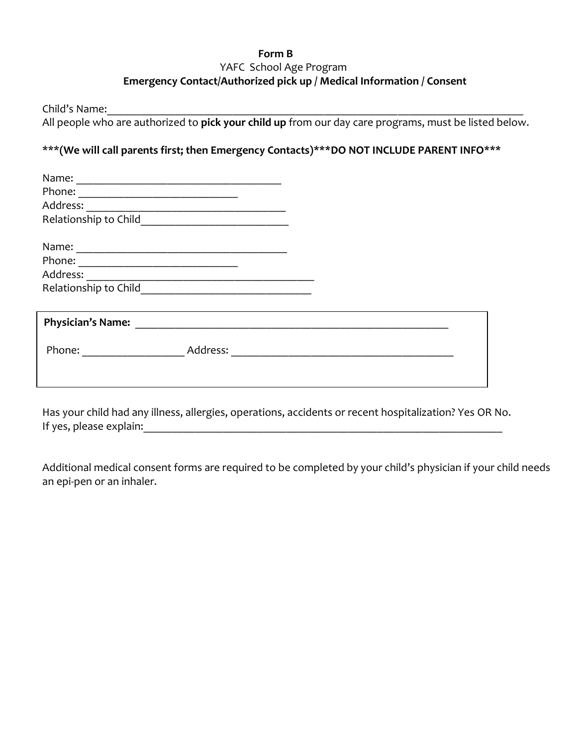## **Form B** YAFC School Age Program  **Emergency Contact/Authorized pick up / Medical Information / Consent**

Child's Name:\_\_\_\_\_\_\_\_\_\_\_\_\_\_\_\_\_\_\_\_\_\_\_\_\_\_\_\_\_\_\_\_\_\_\_\_\_\_\_\_\_\_\_\_\_\_\_\_\_\_\_\_\_\_\_\_\_\_\_\_\_\_\_\_\_\_\_\_\_\_\_\_\_

All people who are authorized to **pick your child up** from our day care programs, must be listed below.

## \*\*\***(We will call parents first; then Emergency Contacts)\*\*\*DO NOT INCLUDE PARENT INFO\*\*\***

| Name:                                                              |          |  |  |  |
|--------------------------------------------------------------------|----------|--|--|--|
| Phone:                                                             |          |  |  |  |
| Address:                                                           |          |  |  |  |
| Relationship to Child                                              |          |  |  |  |
| Name:<br><u> 1980 - John Stein, Amerikaansk politiker (* 1918)</u> |          |  |  |  |
| Phone:                                                             |          |  |  |  |
| Address:                                                           |          |  |  |  |
| Relationship to Child                                              |          |  |  |  |
|                                                                    |          |  |  |  |
| <b>Physician's Name:</b>                                           |          |  |  |  |
| Phone:                                                             | Address: |  |  |  |
|                                                                    |          |  |  |  |

Has your child had any illness, allergies, operations, accidents or recent hospitalization? Yes OR No. If yes, please explain:  $\Box$ 

Additional medical consent forms are required to be completed by your child's physician if your child needs an epi-pen or an inhaler.